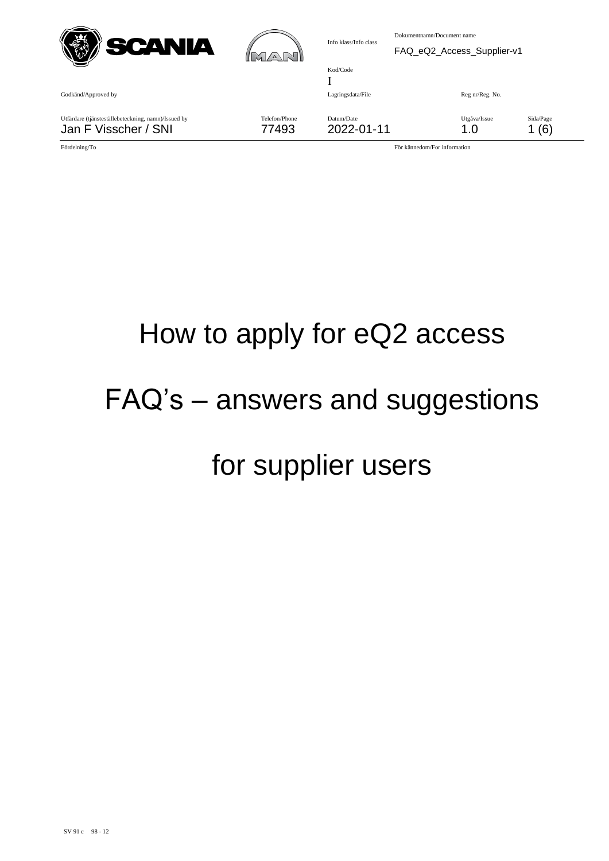| SCANIA                                                                      | <b>IM</b><br>$\sqrt{\Delta}$ | Info klass/Info class         | Dokumentnamn/Document name<br>FAQ_eQ2_Access_Supplier-v1 |                     |                  |
|-----------------------------------------------------------------------------|------------------------------|-------------------------------|----------------------------------------------------------|---------------------|------------------|
| Godkänd/Approved by                                                         |                              | Kod/Code<br>Lagringsdata/File |                                                          | Reg nr/Reg. No.     |                  |
| Utfärdare (tjänsteställebeteckning, namn)/Issued by<br>Jan F Visscher / SNI | Telefon/Phone<br>77493       | Datum/Date<br>2022-01-11      |                                                          | Utgåva/Issue<br>1.0 | Sida/Page<br>(6) |

## How to apply for eQ2 access FAQ's – answers and suggestions for supplier users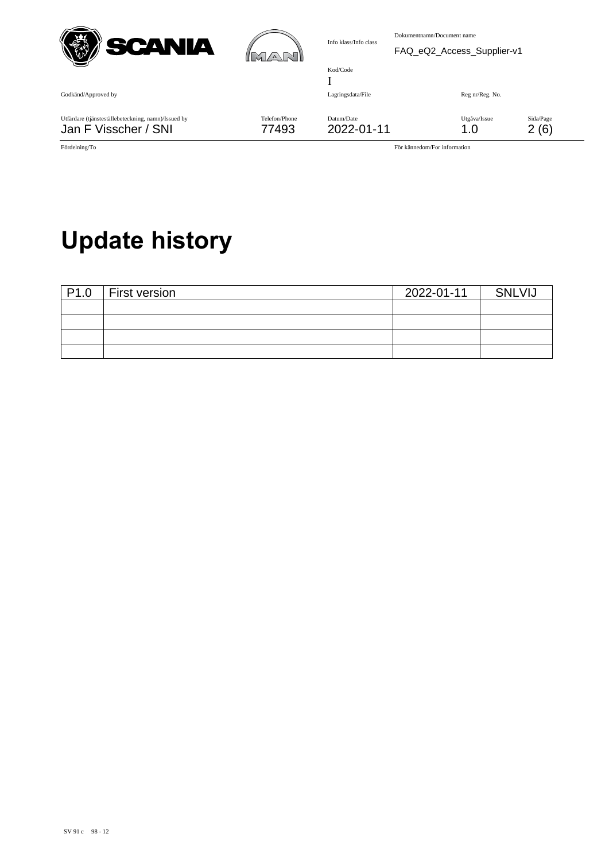| SCANIA                                                                      | $\mathbb{M}\mathbb{A}$ | Info klass/Info class         | Dokumentnamn/Document name | FAQ_eQ2_Access_Supplier-v1 |                  |
|-----------------------------------------------------------------------------|------------------------|-------------------------------|----------------------------|----------------------------|------------------|
| Godkänd/Approved by                                                         |                        | Kod/Code<br>Lagringsdata/File |                            | Reg nr/Reg. No.            |                  |
| Utfärdare (tjänsteställebeteckning, namn)/Issued by<br>Jan F Visscher / SNI | Telefon/Phone<br>77493 | Datum/Date<br>2022-01-11      |                            | Utgåva/Issue<br>1.0        | Sida/Page<br>(6) |

## **Update history**

| P1.0 | First version | 2022-01-11 | <b>SNLVIJ</b> |
|------|---------------|------------|---------------|
|      |               |            |               |
|      |               |            |               |
|      |               |            |               |
|      |               |            |               |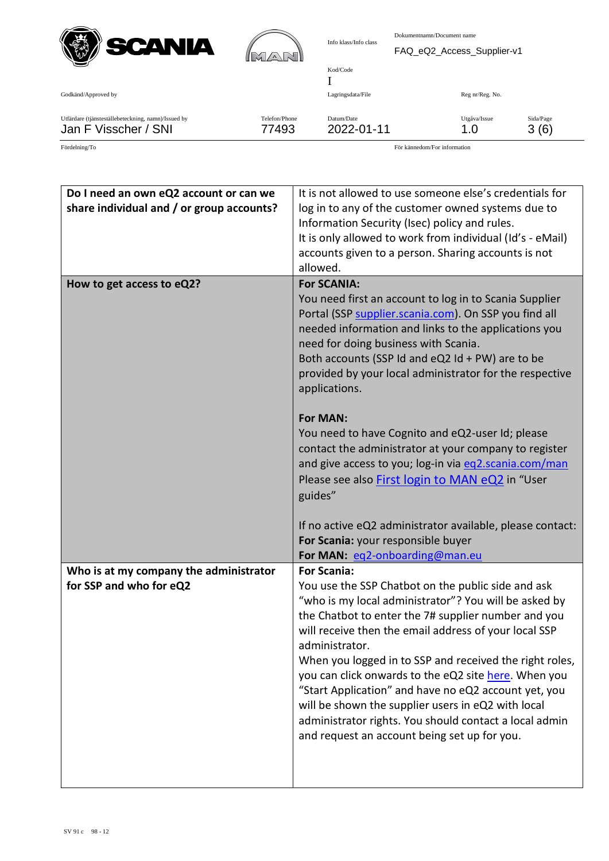



Utfärdare (tjänsteställebeteckning, namn)/Issued by Telefon/Phone Datum/Date Utgåva/Issue Sida/Page Jan F Visscher / SNI 77493 2022-01-11 1.0 3 (6)

| Do I need an own eQ2 account or can we<br>share individual and / or group accounts? | It is not allowed to use someone else's credentials for<br>log in to any of the customer owned systems due to<br>Information Security (Isec) policy and rules.<br>It is only allowed to work from individual (Id's - eMail)<br>accounts given to a person. Sharing accounts is not<br>allowed.                                                                                                                                                                                                                                                                                           |
|-------------------------------------------------------------------------------------|------------------------------------------------------------------------------------------------------------------------------------------------------------------------------------------------------------------------------------------------------------------------------------------------------------------------------------------------------------------------------------------------------------------------------------------------------------------------------------------------------------------------------------------------------------------------------------------|
| How to get access to eQ2?                                                           | <b>For SCANIA:</b>                                                                                                                                                                                                                                                                                                                                                                                                                                                                                                                                                                       |
|                                                                                     | You need first an account to log in to Scania Supplier<br>Portal (SSP supplier.scania.com). On SSP you find all<br>needed information and links to the applications you<br>need for doing business with Scania.<br>Both accounts (SSP Id and $eQ2$ Id + PW) are to be<br>provided by your local administrator for the respective<br>applications.                                                                                                                                                                                                                                        |
|                                                                                     | <b>For MAN:</b><br>You need to have Cognito and eQ2-user Id; please<br>contact the administrator at your company to register<br>and give access to you; log-in via eq2.scania.com/man<br>Please see also First login to MAN eQ2 in "User<br>guides"                                                                                                                                                                                                                                                                                                                                      |
|                                                                                     | If no active eQ2 administrator available, please contact:<br>For Scania: your responsible buyer<br>For MAN: eq2-onboarding@man.eu                                                                                                                                                                                                                                                                                                                                                                                                                                                        |
| Who is at my company the administrator                                              | <b>For Scania:</b>                                                                                                                                                                                                                                                                                                                                                                                                                                                                                                                                                                       |
| for SSP and who for eQ2                                                             | You use the SSP Chatbot on the public side and ask<br>"who is my local administrator"? You will be asked by<br>the Chatbot to enter the 7# supplier number and you<br>will receive then the email address of your local SSP<br>administrator.<br>When you logged in to SSP and received the right roles,<br>you can click onwards to the eQ2 site here. When you<br>"Start Application" and have no eQ2 account yet, you<br>will be shown the supplier users in eQ2 with local<br>administrator rights. You should contact a local admin<br>and request an account being set up for you. |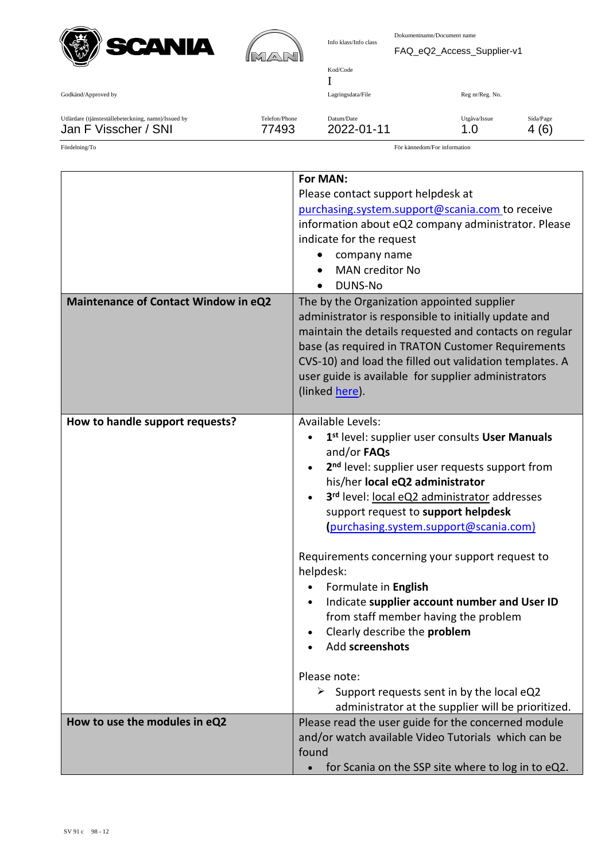



| Godkänd/Approved by                                 |               | Lagringsdata/File | Reg nr/Reg. No. |           |
|-----------------------------------------------------|---------------|-------------------|-----------------|-----------|
| Utfärdare (tjänsteställebeteckning, namn)/Issued by | Telefon/Phone | Datum/Date        | Utgåva/Issue    | Sida/Page |
| Jan F Visscher / SNI                                | 77493         | 2022-01-11        | 1.0             | 4 (6)     |

| <b>Maintenance of Contact Window in eQ2</b> | For MAN:<br>Please contact support helpdesk at<br>purchasing.system.support@scania.com to receive<br>information about eQ2 company administrator. Please<br>indicate for the request<br>company name<br><b>MAN</b> creditor No<br><b>DUNS-No</b><br>The by the Organization appointed supplier                                                                                                                                                                                                                                                                                                                                                                                              |
|---------------------------------------------|---------------------------------------------------------------------------------------------------------------------------------------------------------------------------------------------------------------------------------------------------------------------------------------------------------------------------------------------------------------------------------------------------------------------------------------------------------------------------------------------------------------------------------------------------------------------------------------------------------------------------------------------------------------------------------------------|
|                                             | administrator is responsible to initially update and<br>maintain the details requested and contacts on regular<br>base (as required in TRATON Customer Requirements<br>CVS-10) and load the filled out validation templates. A<br>user guide is available for supplier administrators<br>(linked here).                                                                                                                                                                                                                                                                                                                                                                                     |
| How to handle support requests?             | Available Levels:<br>1 <sup>st</sup> level: supplier user consults User Manuals<br>and/or FAQs<br>2 <sup>nd</sup> level: supplier user requests support from<br>his/her local eQ2 administrator<br>3rd level: local eQ2 administrator addresses<br>support request to support helpdesk<br>(purchasing.system.support@scania.com)<br>Requirements concerning your support request to<br>helpdesk:<br>Formulate in English<br>Indicate supplier account number and User ID<br>from staff member having the problem<br>Clearly describe the problem<br>Add screenshots<br>Please note:<br>Support requests sent in by the local eQ2<br>≻<br>administrator at the supplier will be prioritized. |
| How to use the modules in eQ2               | Please read the user guide for the concerned module<br>and/or watch available Video Tutorials which can be<br>found<br>for Scania on the SSP site where to log in to eQ2.                                                                                                                                                                                                                                                                                                                                                                                                                                                                                                                   |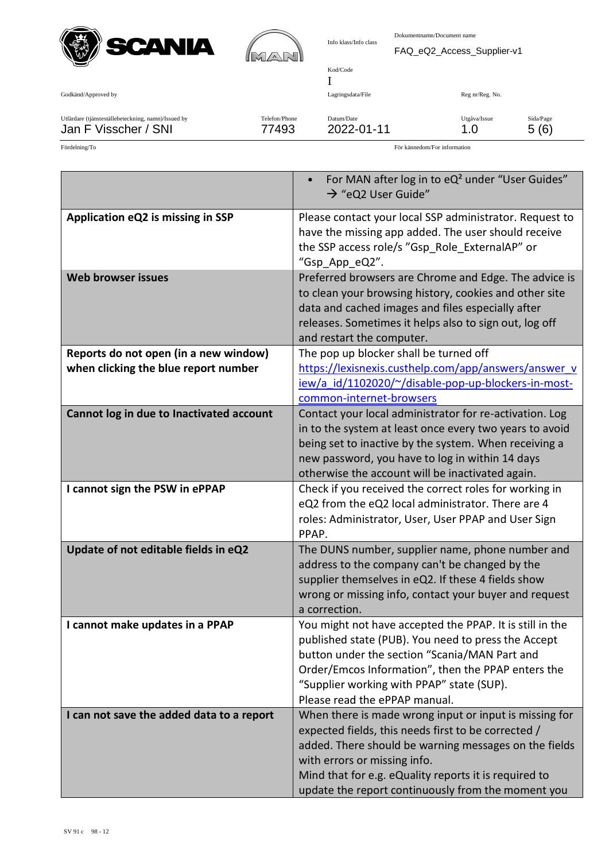



| Info klass/Info class | Dokumentnamn/Document name |
|-----------------------|----------------------------|
|                       | FAQ eQ2 Access Sup         |

| Godkänd/Approved by                                 |               | Lagringsdata/File | Reg nr/Reg. No. |           |
|-----------------------------------------------------|---------------|-------------------|-----------------|-----------|
| Utfärdare (tjänsteställebeteckning, namn)/Issued by | Telefon/Phone | Datum/Date        | Utgåva/Issue    | Sida/Page |
| Jan F Visscher / SNI                                | 77493         | 2022-01-11        | 1.0             | 5(6)      |

Kod/Code I

|                                           | For MAN after log in to eQ <sup>2</sup> under "User Guides"<br>$\rightarrow$ "eQ2 User Guide"                                                                                                                                                               |
|-------------------------------------------|-------------------------------------------------------------------------------------------------------------------------------------------------------------------------------------------------------------------------------------------------------------|
| Application eQ2 is missing in SSP         | Please contact your local SSP administrator. Request to<br>have the missing app added. The user should receive<br>the SSP access role/s "Gsp_Role_ExternalAP" or<br>"Gsp_App_eQ2".                                                                          |
| <b>Web browser issues</b>                 | Preferred browsers are Chrome and Edge. The advice is<br>to clean your browsing history, cookies and other site<br>data and cached images and files especially after<br>releases. Sometimes it helps also to sign out, log off<br>and restart the computer. |
| Reports do not open (in a new window)     | The pop up blocker shall be turned off                                                                                                                                                                                                                      |
| when clicking the blue report number      | https://lexisnexis.custhelp.com/app/answers/answer_v                                                                                                                                                                                                        |
|                                           | iew/a_id/1102020/~/disable-pop-up-blockers-in-most-                                                                                                                                                                                                         |
|                                           | common-internet-browsers                                                                                                                                                                                                                                    |
| Cannot log in due to Inactivated account  | Contact your local administrator for re-activation. Log                                                                                                                                                                                                     |
|                                           | in to the system at least once every two years to avoid                                                                                                                                                                                                     |
|                                           | being set to inactive by the system. When receiving a                                                                                                                                                                                                       |
|                                           | new password, you have to log in within 14 days                                                                                                                                                                                                             |
|                                           | otherwise the account will be inactivated again.                                                                                                                                                                                                            |
| I cannot sign the PSW in ePPAP            | Check if you received the correct roles for working in<br>eQ2 from the eQ2 local administrator. There are 4                                                                                                                                                 |
|                                           | roles: Administrator, User, User PPAP and User Sign                                                                                                                                                                                                         |
|                                           | PPAP.                                                                                                                                                                                                                                                       |
| Update of not editable fields in eQ2      | The DUNS number, supplier name, phone number and                                                                                                                                                                                                            |
|                                           | address to the company can't be changed by the                                                                                                                                                                                                              |
|                                           | supplier themselves in eQ2. If these 4 fields show                                                                                                                                                                                                          |
|                                           | wrong or missing info, contact your buyer and request                                                                                                                                                                                                       |
|                                           | a correction.                                                                                                                                                                                                                                               |
| I cannot make updates in a PPAP           | You might not have accepted the PPAP. It is still in the                                                                                                                                                                                                    |
|                                           | published state (PUB). You need to press the Accept                                                                                                                                                                                                         |
|                                           | button under the section "Scania/MAN Part and                                                                                                                                                                                                               |
|                                           | Order/Emcos Information", then the PPAP enters the                                                                                                                                                                                                          |
|                                           | "Supplier working with PPAP" state (SUP).<br>Please read the ePPAP manual.                                                                                                                                                                                  |
|                                           |                                                                                                                                                                                                                                                             |
| I can not save the added data to a report | When there is made wrong input or input is missing for<br>expected fields, this needs first to be corrected /                                                                                                                                               |
|                                           | added. There should be warning messages on the fields                                                                                                                                                                                                       |
|                                           | with errors or missing info.                                                                                                                                                                                                                                |
|                                           | Mind that for e.g. eQuality reports it is required to                                                                                                                                                                                                       |
|                                           | update the report continuously from the moment you                                                                                                                                                                                                          |
|                                           |                                                                                                                                                                                                                                                             |